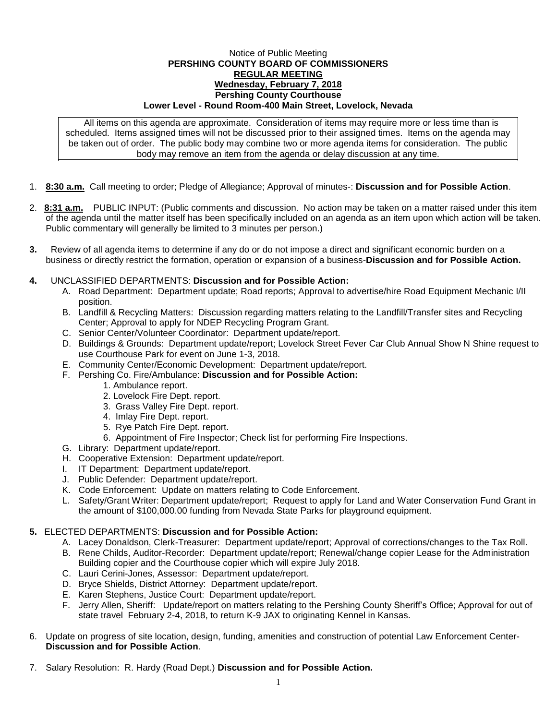## Notice of Public Meeting **PERSHING COUNTY BOARD OF COMMISSIONERS REGULAR MEETING Wednesday, February 7, 2018 Pershing County Courthouse Lower Level - Round Room-400 Main Street, Lovelock, Nevada**

All items on this agenda are approximate. Consideration of items may require more or less time than is scheduled. Items assigned times will not be discussed prior to their assigned times. Items on the agenda may be taken out of order. The public body may combine two or more agenda items for consideration. The public body may remove an item from the agenda or delay discussion at any time.

- 1. **8:30 a.m.** Call meeting to order; Pledge of Allegiance; Approval of minutes-: **Discussion and for Possible Action**.
- 2. **8:31 a.m.** PUBLIC INPUT: (Public comments and discussion. No action may be taken on a matter raised under this item of the agenda until the matter itself has been specifically included on an agenda as an item upon which action will be taken. Public commentary will generally be limited to 3 minutes per person.)
- **3.** Review of all agenda items to determine if any do or do not impose a direct and significant economic burden on a business or directly restrict the formation, operation or expansion of a business-**Discussion and for Possible Action.**
- **4.** UNCLASSIFIED DEPARTMENTS: **Discussion and for Possible Action:**
	- A. Road Department: Department update; Road reports; Approval to advertise/hire Road Equipment Mechanic I/II position.
	- B. Landfill & Recycling Matters: Discussion regarding matters relating to the Landfill/Transfer sites and Recycling Center; Approval to apply for NDEP Recycling Program Grant.
	- C. Senior Center/Volunteer Coordinator: Department update/report.
	- D. Buildings & Grounds: Department update/report; Lovelock Street Fever Car Club Annual Show N Shine request to use Courthouse Park for event on June 1-3, 2018.
	- E. Community Center/Economic Development: Department update/report.
	- F. Pershing Co. Fire/Ambulance: **Discussion and for Possible Action:**
		- 1. Ambulance report.
		- 2. Lovelock Fire Dept. report.
		- 3. Grass Valley Fire Dept. report.
		- 4. Imlay Fire Dept. report.
		- 5. Rye Patch Fire Dept. report.
		- 6. Appointment of Fire Inspector; Check list for performing Fire Inspections.
	- G. Library: Department update/report.
	- H. Cooperative Extension: Department update/report.
	- I. IT Department: Department update/report.
	- J. Public Defender: Department update/report.
	- K. Code Enforcement: Update on matters relating to Code Enforcement.
	- L. Safety/Grant Writer: Department update/report; Request to apply for Land and Water Conservation Fund Grant in the amount of \$100,000.00 funding from Nevada State Parks for playground equipment.

## **5.** ELECTED DEPARTMENTS: **Discussion and for Possible Action:**

- A. Lacey Donaldson, Clerk-Treasurer: Department update/report; Approval of corrections/changes to the Tax Roll.
- B. Rene Childs, Auditor-Recorder: Department update/report; Renewal/change copier Lease for the Administration Building copier and the Courthouse copier which will expire July 2018.
- C. Lauri Cerini-Jones, Assessor: Department update/report.
- D. Bryce Shields, District Attorney: Department update/report.
- E. Karen Stephens, Justice Court: Department update/report.
- F. Jerry Allen, Sheriff: Update/report on matters relating to the Pershing County Sheriff's Office; Approval for out of state travel February 2-4, 2018, to return K-9 JAX to originating Kennel in Kansas.
- 6. Update on progress of site location, design, funding, amenities and construction of potential Law Enforcement Center-**Discussion and for Possible Action**.
- 7. Salary Resolution: R. Hardy (Road Dept.) **Discussion and for Possible Action.**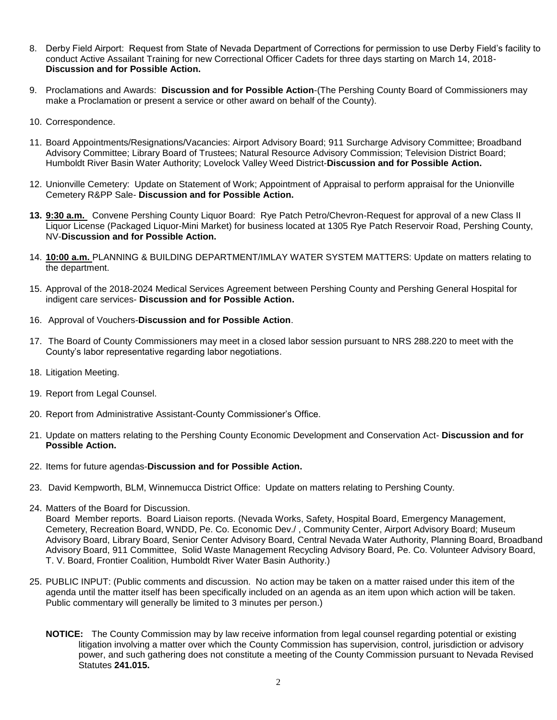- 8. Derby Field Airport: Request from State of Nevada Department of Corrections for permission to use Derby Field's facility to conduct Active Assailant Training for new Correctional Officer Cadets for three days starting on March 14, 2018- **Discussion and for Possible Action.**
- 9. Proclamations and Awards: **Discussion and for Possible Action**-(The Pershing County Board of Commissioners may make a Proclamation or present a service or other award on behalf of the County).
- 10. Correspondence.
- 11. Board Appointments/Resignations/Vacancies: Airport Advisory Board; 911 Surcharge Advisory Committee; Broadband Advisory Committee; Library Board of Trustees; Natural Resource Advisory Commission; Television District Board; Humboldt River Basin Water Authority; Lovelock Valley Weed District-**Discussion and for Possible Action.**
- 12. Unionville Cemetery: Update on Statement of Work; Appointment of Appraisal to perform appraisal for the Unionville Cemetery R&PP Sale- **Discussion and for Possible Action.**
- **13. 9:30 a.m.** Convene Pershing County Liquor Board: Rye Patch Petro/Chevron-Request for approval of a new Class II Liquor License (Packaged Liquor-Mini Market) for business located at 1305 Rye Patch Reservoir Road, Pershing County, NV-**Discussion and for Possible Action.**
- 14. **10:00 a.m.** PLANNING & BUILDING DEPARTMENT/IMLAY WATER SYSTEM MATTERS: Update on matters relating to the department.
- 15. Approval of the 2018-2024 Medical Services Agreement between Pershing County and Pershing General Hospital for indigent care services- **Discussion and for Possible Action.**
- 16. Approval of Vouchers-**Discussion and for Possible Action**.
- 17. The Board of County Commissioners may meet in a closed labor session pursuant to NRS 288.220 to meet with the County's labor representative regarding labor negotiations.
- 18. Litigation Meeting.
- 19. Report from Legal Counsel.
- 20. Report from Administrative Assistant-County Commissioner's Office.
- 21. Update on matters relating to the Pershing County Economic Development and Conservation Act- **Discussion and for Possible Action.**
- 22. Items for future agendas-**Discussion and for Possible Action.**
- 23. David Kempworth, BLM, Winnemucca District Office: Update on matters relating to Pershing County.
- 24. Matters of the Board for Discussion.

Board Member reports. Board Liaison reports. (Nevada Works, Safety, Hospital Board, Emergency Management, Cemetery, Recreation Board, WNDD, Pe. Co. Economic Dev./ , Community Center, Airport Advisory Board; Museum Advisory Board, Library Board, Senior Center Advisory Board, Central Nevada Water Authority, Planning Board, Broadband Advisory Board, 911 Committee, Solid Waste Management Recycling Advisory Board, Pe. Co. Volunteer Advisory Board, T. V. Board, Frontier Coalition, Humboldt River Water Basin Authority.)

- 25. PUBLIC INPUT: (Public comments and discussion. No action may be taken on a matter raised under this item of the agenda until the matter itself has been specifically included on an agenda as an item upon which action will be taken. Public commentary will generally be limited to 3 minutes per person.)
	- **NOTICE:** The County Commission may by law receive information from legal counsel regarding potential or existing litigation involving a matter over which the County Commission has supervision, control, jurisdiction or advisory power, and such gathering does not constitute a meeting of the County Commission pursuant to Nevada Revised Statutes **241.015.**